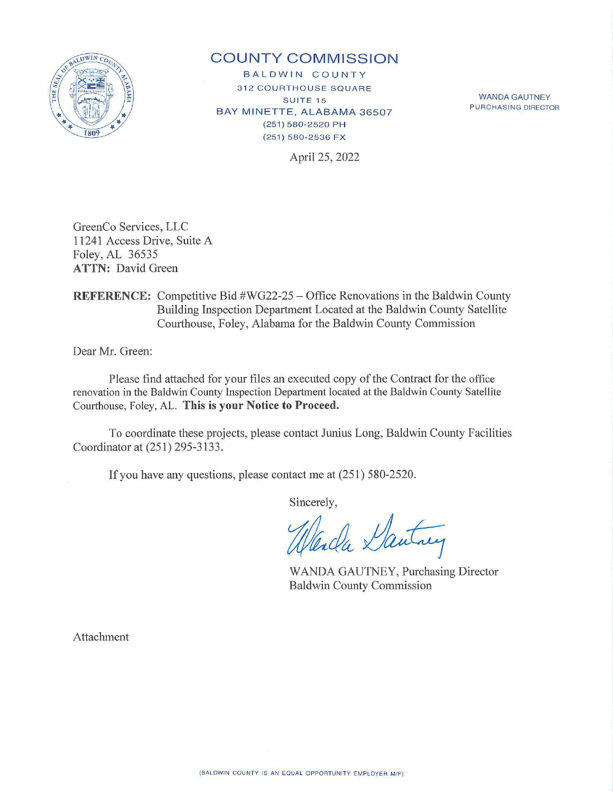

## **COUNTY COMMISSION**

BALDWIN COUNTY **312 COURTHOUSE SQUARE SUITE 15** BAY MINETTE, ALABAMA 36507 {2 5 1) 5 8 0-2520 PH (251) 580-2536 FX

WANDA GAUTNEY PURCHASING DIRECTOR

April 25, 2022

GreenCo Services, LLC 11241 Access Drive, Suite A Foley, AL 36535 **ATTN:** David Green

**REFERENCE:** Competitive Bid #WG22-25 – Office Renovations in the Baldwin County Building Inspection Department Located at the Baldwin County Satellite Courthouse, Foley, Alabama for the Baldwin County Commission

Dear Mr. Green:

Please find attached for your files an executed copy of the Contract for the office renovation in the Baldwin County Inspection Department located at the Baldwin County Satellite Courthouse, Foley, AL. This is your Notice to Proceed.

To coordinate these projects, please contact Junius Long, Baldwin County Facilities Coordinator at (251) 295-3133 .

If you have any questions, please contact me at (251) 580-2520.

Sincerely,

ida Dantary

WANDA GAUTNEY, Purchasing Director Baldwin County Commission

Attachment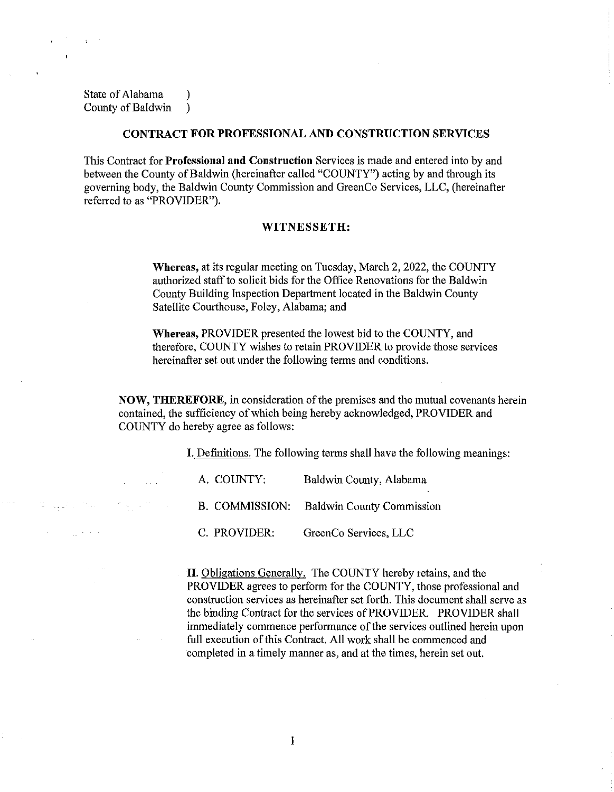State of Alabama (a) County of Baldwin )

## **CONTRACT FOR PROFESSIONAL AND CONSTRUCTION SERVICES**

This Contract for **Professional and Construction** Services is made and entered into by and between the County of Baldwin (hereinafter called "COUNTY") acting by and through its governing body, the Baldwin County Commission and GreenCo Services, LLC, (hereinafter referred to as "PROVIDER").

## **WITNESSETH:**

**Whereas,** at its regular meeting on Tuesday, March 2, 2022, the COUNTY authorized staff to solicit bids for the Office Renovations for the Baldwin County Building Inspection Department located in the Baldwin County Satellite Courthouse, Foley, Alabama; and

**Whereas,** PROVIDER presented the lowest bid to the COUNTY, and therefore, COUNTY wishes to retain PROVIDER to provide those services hereinafter set out under the following terms and conditions.

**NOW, THEREFORE,** in consideration of the premises and the mutual covenants herein contained, the sufficiency of which being hereby acknowledged, PROVIDER and COUNTY do hereby agree as follows:

**I.** Definitions. The following terms shall have the following meanings:

| A. COUNTY:     | Baldwin County, Alabama          |
|----------------|----------------------------------|
| B. COMMISSION: | <b>Baldwin County Commission</b> |
| C. PROVIDER:   | GreenCo Services, LLC            |

**II.** Obligations Generally. The COUNTY hereby retains, and the PROVIDER agrees to perform for the COUNTY, those professional and construction services as hereinafter set forth. This document shall serve as the binding Contract for the services of PROVIDER. PROVIDER shall immediately commence performance of the services outlined herein upon full execution of this Contract. All work shall be commenced and completed in a timely manner as, and at the times, herein set out.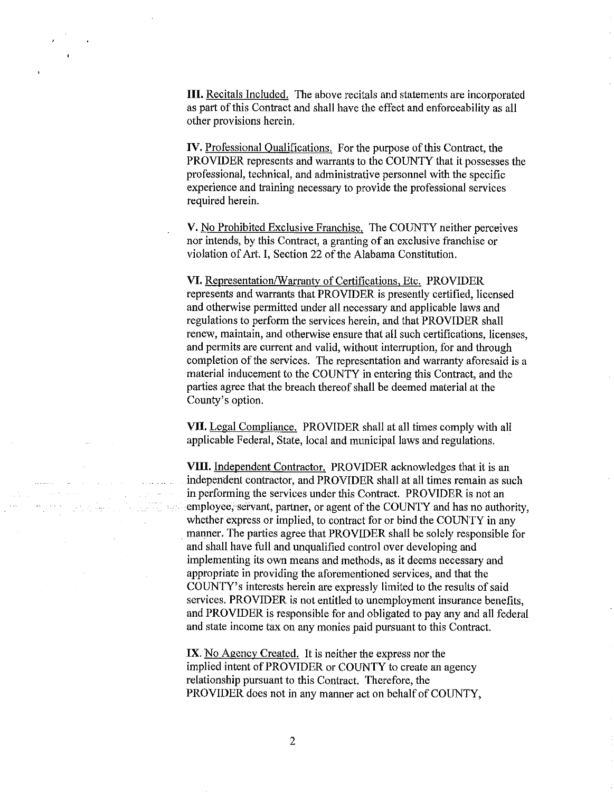**III.** Recitals Included. The above recitals and statements are incorporated as part of this Contract and shall have the effect and enforceability as all other provisions herein.

**IV.** Professional Qualifications. For the purpose of this Contract, the PROVIDER represents and warrants to the COUNTY that it possesses the professional, technical, and administrative personnel with the specific experience and training necessary to provide the professional services required herein.

V. No Prohibited Exclusive Franchise. The COUNTY neither perceives nor intends, by this Contract, a granting of an exclusive franchise or violation of Art. I, Section 22 of the Alabama Constitution.

**VI.** Representation/Warranty of Certifications, Etc. PROVIDER represents and warrants that PROVIDER is presently certified, licensed and otherwise permitted under all necessary and applicable laws and regulations to perform the services herein, and that PROVIDER shall renew, maintain, and otherwise ensure that all such certifications, licenses, and permits are current and valid, without interruption, for and through completion of the services. The representation and warranty aforesaid is a material inducement to the COUNTY in entering this Contract, and the parties agree that the breach thereof shall be deemed material at the County's option.

**VII.** Legal Compliance. PROVIDER shall at all times comply with all applicable Federal, State, local and municipal laws and regulations.

VIII. Independent Contractor. PROVIDER acknowledges that it is an independent contractor, and PROVIDER shall at all times remain as such in performing the services under this Contract. PROVIDER is not an employee, servant, partner, or agent of the COUNTY and has no authority, whether express or implied, to contract for or bind the COUNTY in any manner. The parties agree that PROVIDER shall be solely responsible for and shall have full and unqualified control over developing and implementing its own means and methods, as it deems necessary and appropriate in providing the aforementioned services, and that the COUNTY's interests herein are expressly limited to the results of said services. PROVIDER is not entitled to unemployment insurance benefits, and PROVIDER is responsible for and obligated to pay any and all federal and state income tax on any monies paid pursuant to this Contract.

IX. No Agency Created. It is neither the express nor the implied intent of PROVIDER or COUNTY to create an agency relationship pursuant to this Contract. Therefore, the PROVIDER does not in any manner act on behalf of COUNTY,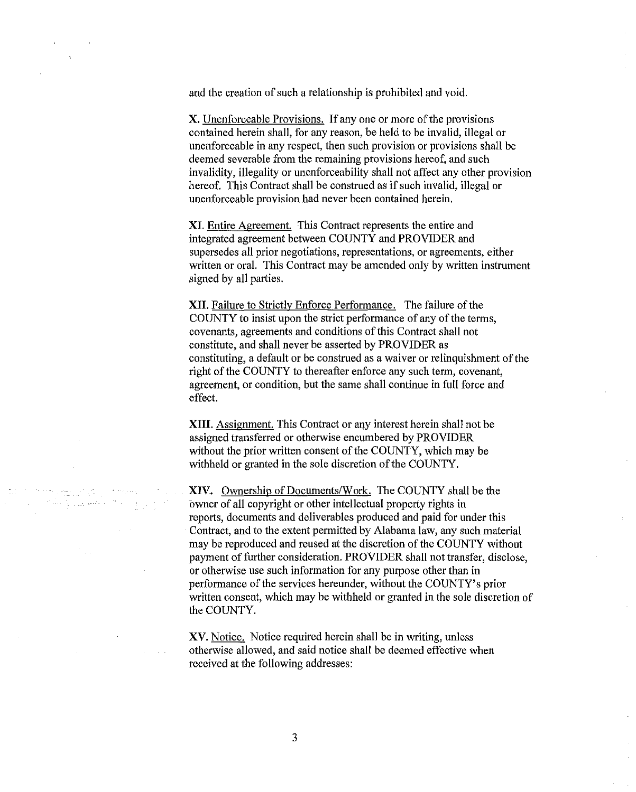and the creation of such a relationship is prohibited and void.

X. Unenforceable Provisions. If any one or more of the provisions contained herein shall, for any reason, be held to be invalid, illegal or unenforceable in any respect, then such provision or provisions shall be deemed severable from the remaining provisions hereof, and such invalidity, illegality or unenforceability shall not affect any other provision hereof. This Contract shall be construed as if such invalid, illegal or unenforceable provision had never been contained herein.

**XI.** Entire Agreement. This Contract represents the entire and integrated agreement between COUNTY and PROVIDER and supersedes all prior negotiations, representations, or agreements, either written or oral. This Contract may be amended only by written instrument signed by all parties.

**XII.** Failure to Strictly Enforce Performance. The failure of the COUNTY to insist upon the strict performance of any of the terms, covenants, agreements and conditions of this Contract shall not constitute, and shall never be asserted by PROVIDER as constituting, a default or be construed as a waiver or relinquishment of the right of the COUNTY to thereafter enforce any such term, covenant, agreement, or condition, but the same shall continue in full force and effect.

**XIII.** Assignment. This Contract or any interest herein shall not be assigned transferred or otherwise encumbered by PROVIDER without the prior written consent of the COUNTY, which may be withheld or granted in the sole discretion of the COUNTY.

**XIV.** Ownership of Documents/Work. The COUNTY shall be the owner of all copyright or other intellectual property rights in reports, documents and deliverables produced and paid for under this Contract, and to the extent permitted by Alabama law, any such material may be reproduced and reused at the discretion of the COUNTY without payment of further consideration. PROVIDER shall not transfer, disclose, or otherwise use such information for any purpose other than in performance of the services hereunder, without the COUNTY's prior written consent, which may be withheld or granted in the sole discretion of the COUNTY.

XV. Notice. Notice required herein shall be in writing, unless otherwise allowed, and said notice shall be deemed effective when received at the following addresses:

السوابين والسالا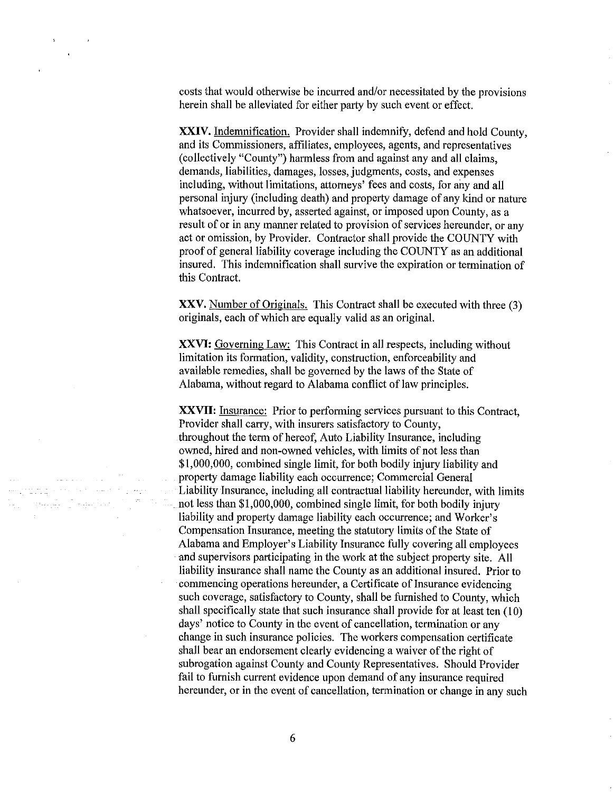costs that would otherwise be incurred and/or necessitated by the provisions herein shall be alleviated for either party by such event or effect.

**XXIV.** Indemnification. Provider shall indemnify, defend and hold County, and its Commissioners, affiliates, employees, agents, and representatives (collectively "County") harmless from and against any and all claims, demands, liabilities, damages, losses, judgments, costs, and expenses including, without limitations, attorneys' fees and costs, for any and all personal injury (including death) and property damage of any kind or nature whatsoever, incurred by, asserted against, or imposed upon County, as a result of or in any manner related to provision of services hereunder, or any act or omission, by Provider. Contractor shall provide the COUNTY with proof of general liability coverage including the COUNTY as an additional insured. This indemnification shall survive the expiration or termination of this Contract.

**XXV.** Number of Originals. This Contract shall be executed with three (3) originals, each of which are equally valid as an original.

**XXVI:** Governing Law: This Contract in all respects, including without limitation its formation, validity, construction, enforceability and available remedies, shall be governed by the laws of the State of Alabama, without regard to Alabama conflict of law principles.

**XXVII:** Insurance: Prior to performing services pursuant to this Contract. Provider shall carry, with insurers satisfactory to County, throughout the term of hereof, Auto Liability Insurance, including owned, hired and non-owned vehicles, with limits of not less than \$1,000,000, combined single limit, for both bodily injury liability and property damage liability each occurrence; Commercial General Liability Insurance, including all contractual liability hereunder, with limits not less than \$1,000,000, combined single limit, for both bodily injury liability and property damage liability each occurrence; and Worker's Compensation Insurance, meeting the statutory limits of the State of Alabama and Employer's Liability Insurance fully covering all employees and supervisors participating in the work at the subject property site. All liability insurance shall name the County as an additional insured. Prior to commencing operations hereunder, a Certificate of Insurance evidencing such coverage, satisfactory to County, shall be furnished to County, which shall specifically state that such insurance shall provide for at least ten (10) days' notice to County in the event of cancellation, termination or any change in such insurance policies. The workers compensation certificate shall bear an endorsement clearly evidencing a waiver of the right of subrogation against County and County Representatives. Should Provider fail to furnish current evidence upon demand of any insurance required hereunder, or in the event of cancellation, termination or change in any such

and Caption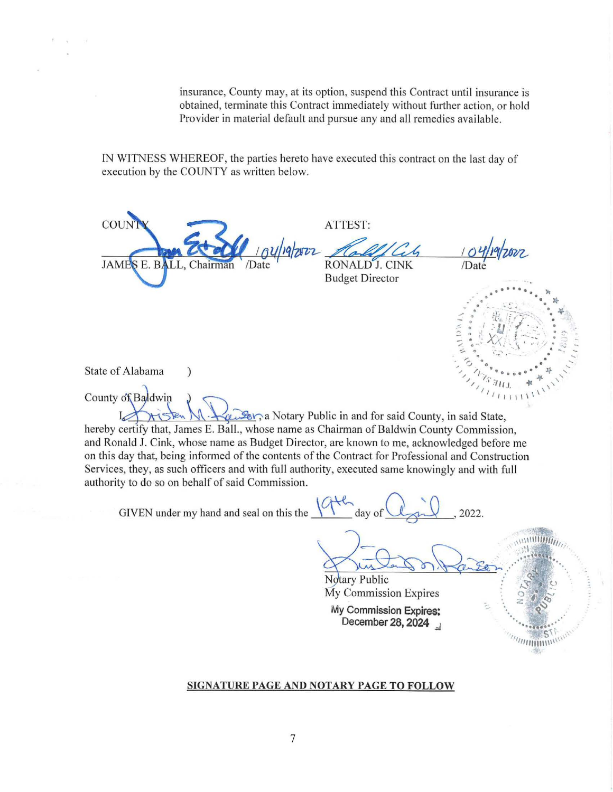insurance, County may, at its option, suspend this Contract until insurance is obtained, terminate this Contract immediately without further action, or hold Provider in material default and pursue any and all remedies available.

IN WITNESS WHEREOF, the parties hereto have executed this contract on the last day of execution by the COUNTY as written below.

COUN JAMES E. BALL, Chairman

 $\mathcal{E}$ 

ATTEST:

RONALD J. CINK **Budget Director** 

2022.



 $\mathcal{D}$ 

State of Alabama

County of Baldwin a Notary Public in and for said County, in said State, hereby certify that, James E. Ball., whose name as Chairman of Baldwin County Commission, and Ronald J. Cink, whose name as Budget Director, are known to me, acknowledged before me on this day that, being informed of the contents of the Contract for Professional and Construction Services, they, as such officers and with full authority, executed same knowingly and with full authority to do so on behalf of said Commission.

GIVEN under my hand and seal on this the  $\sqrt{4\pi}$  day of

Notary Public My Commission Expires

My Commission Expires: December 28, 2024

## SIGNATURE PAGE AND NOTARY PAGE TO FOLLOW